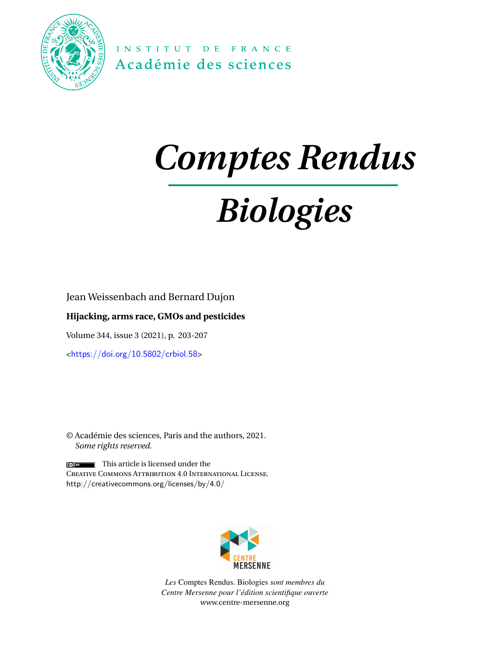

INSTITUT DE FRANCE Académie des sciences

## *Comptes Rendus*

# *Biologies*

Jean Weissenbach and Bernard Dujon

## **Hijacking, arms race, GMOs and pesticides**

Volume 344, issue 3 (2021), p. 203-207

<<https://doi.org/10.5802/crbiol.58>>

© Académie des sciences, Paris and the authors, 2021. *Some rights reserved.*

 $\left[\begin{array}{cc} \bullet \\ \bullet \end{array}\right]$  This article is licensed under the Creative Commons Attribution 4.0 International License. <http://creativecommons.org/licenses/by/4.0/>



*Les* Comptes Rendus. Biologies *sont membres du Centre Mersenne pour l'édition scientifique ouverte* [www.centre-mersenne.org](https://www.centre-mersenne.org)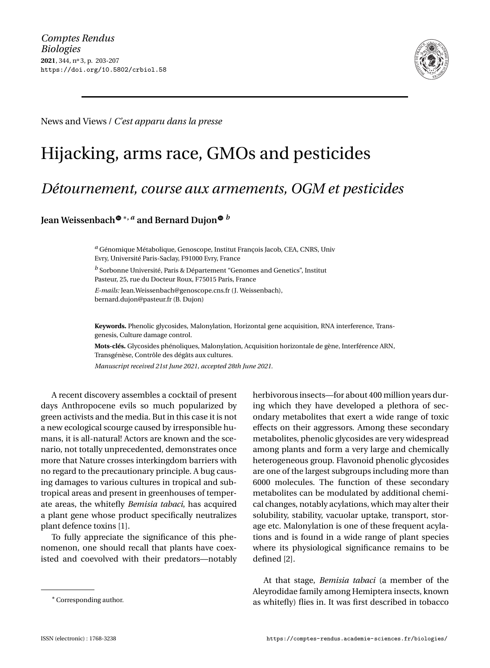

News and Views /*C'est apparu dans la presse*

## Hijacking, arms race, GMOs and pesticides

## *Détournement, course aux armements, OGM et pesticides*

### **Jean Weissenbac[h](https://orcid.org/0000-0001-6564-0840)** <sup>∗</sup>**,** *<sup>a</sup>* **and Bernard Dujo[n](https://orcid.org/0000-0003-4661-3534)** *<sup>b</sup>*

*<sup>a</sup>* Génomique Métabolique, Genoscope, Institut François Jacob, CEA, CNRS, Univ Evry, Université Paris-Saclay, F91000 Evry, France

*<sup>b</sup>* Sorbonne Université, Paris & Département "Genomes and Genetics", Institut Pasteur, 25, rue du Docteur Roux, F75015 Paris, France *E-mails:* [Jean.Weissenbach@genoscope.cns.fr](mailto:Jean.Weissenbach@genoscope.cns.fr) (J. Weissenbach),

[bernard.dujon@pasteur.fr](mailto:bernard.dujon@pasteur.fr) (B. Dujon)

**Keywords.** Phenolic glycosides, Malonylation, Horizontal gene acquisition, RNA interference, Transgenesis, Culture damage control.

**Mots-clés.** Glycosides phénoliques, Malonylation, Acquisition horizontale de gène, Interférence ARN, Transgénèse, Contrôle des dégâts aux cultures.

*Manuscript received 21st June 2021, accepted 28th June 2021.*

A recent discovery assembles a cocktail of present days Anthropocene evils so much popularized by green activists and the media. But in this case it is not a new ecological scourge caused by irresponsible humans, it is all-natural! Actors are known and the scenario, not totally unprecedented, demonstrates once more that Nature crosses interkingdom barriers with no regard to the precautionary principle. A bug causing damages to various cultures in tropical and subtropical areas and present in greenhouses of temperate areas, the whitefly *Bemisia tabaci*, has acquired a plant gene whose product specifically neutralizes plant defence toxins [\[1\]](#page-5-0).

To fully appreciate the significance of this phenomenon, one should recall that plants have coexisted and coevolved with their predators—notably herbivorous insects—for about 400 million years during which they have developed a plethora of secondary metabolites that exert a wide range of toxic effects on their aggressors. Among these secondary metabolites, phenolic glycosides are very widespread among plants and form a very large and chemically heterogeneous group. Flavonoid phenolic glycosides are one of the largest subgroups including more than 6000 molecules. The function of these secondary metabolites can be modulated by additional chemical changes, notably acylations, which may alter their solubility, stability, vacuolar uptake, transport, storage etc. Malonylation is one of these frequent acylations and is found in a wide range of plant species where its physiological significance remains to be defined [\[2\]](#page-5-1).

At that stage, *Bemisia tabaci* (a member of the Aleyrodidae family among Hemiptera insects, known as whitefly) flies in. It was first described in tobacco

<sup>∗</sup>Corresponding author.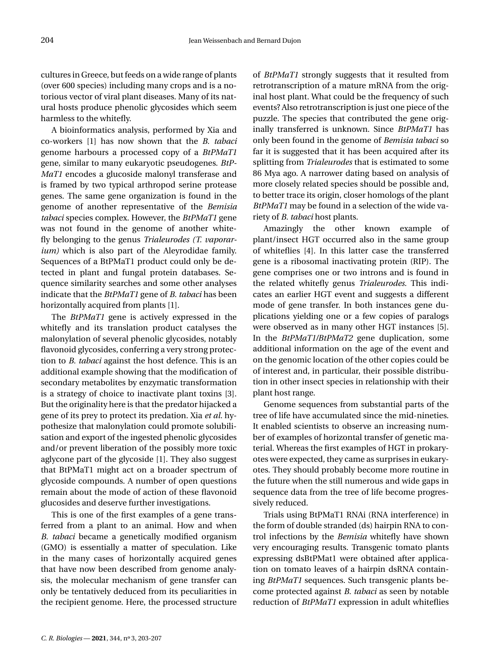cultures in Greece, but feeds on a wide range of plants (over 600 species) including many crops and is a notorious vector of viral plant diseases. Many of its natural hosts produce phenolic glycosides which seem harmless to the whitefly.

A bioinformatics analysis, performed by Xia and co-workers [\[1\]](#page-5-0) has now shown that the *B. tabaci* genome harbours a processed copy of a *BtPMaT1* gene, similar to many eukaryotic pseudogenes. *BtP-MaT1* encodes a glucoside malonyl transferase and is framed by two typical arthropod serine protease genes. The same gene organization is found in the genome of another representative of the *Bemisia tabaci* species complex. However, the *BtPMaT1* gene was not found in the genome of another whitefly belonging to the genus *Trialeurodes (T. vaporarium)* which is also part of the Aleyrodidae family. Sequences of a BtPMaT1 product could only be detected in plant and fungal protein databases. Sequence similarity searches and some other analyses indicate that the *BtPMaT1* gene of *B. tabaci* has been horizontally acquired from plants [\[1\]](#page-5-0).

The *BtPMaT1* gene is actively expressed in the whitefly and its translation product catalyses the malonylation of several phenolic glycosides, notably flavonoid glycosides, conferring a very strong protection to *B. tabaci* against the host defence. This is an additional example showing that the modification of secondary metabolites by enzymatic transformation is a strategy of choice to inactivate plant toxins [\[3\]](#page-5-2). But the originality here is that the predator hijacked a gene of its prey to protect its predation. Xia *et al.* hypothesize that malonylation could promote solubilisation and export of the ingested phenolic glycosides and/or prevent liberation of the possibly more toxic aglycone part of the glycoside [\[1\]](#page-5-0). They also suggest that BtPMaT1 might act on a broader spectrum of glycoside compounds. A number of open questions remain about the mode of action of these flavonoid glucosides and deserve further investigations.

This is one of the first examples of a gene transferred from a plant to an animal. How and when *B. tabaci* became a genetically modified organism (GMO) is essentially a matter of speculation. Like in the many cases of horizontally acquired genes that have now been described from genome analysis, the molecular mechanism of gene transfer can only be tentatively deduced from its peculiarities in the recipient genome. Here, the processed structure of *BtPMaT1* strongly suggests that it resulted from retrotranscription of a mature mRNA from the original host plant. What could be the frequency of such events? Also retrotranscription is just one piece of the puzzle. The species that contributed the gene originally transferred is unknown. Since *BtPMaT1* has only been found in the genome of *Bemisia tabaci* so far it is suggested that it has been acquired after its splitting from *Trialeurodes* that is estimated to some 86 Mya ago. A narrower dating based on analysis of more closely related species should be possible and, to better trace its origin, closer homologs of the plant *BtPMaT1* may be found in a selection of the wide variety of *B. tabaci* host plants.

Amazingly the other known example of plant/insect HGT occurred also in the same group of whiteflies [\[4\]](#page-5-3). In this latter case the transferred gene is a ribosomal inactivating protein (RIP). The gene comprises one or two introns and is found in the related whitefly genus *Trialeurodes*. This indicates an earlier HGT event and suggests a different mode of gene transfer. In both instances gene duplications yielding one or a few copies of paralogs were observed as in many other HGT instances [\[5\]](#page-5-4). In the *BtPMaT1/BtPMaT2* gene duplication*,* some additional information on the age of the event and on the genomic location of the other copies could be of interest and, in particular, their possible distribution in other insect species in relationship with their plant host range.

Genome sequences from substantial parts of the tree of life have accumulated since the mid-nineties. It enabled scientists to observe an increasing number of examples of horizontal transfer of genetic material. Whereas the first examples of HGT in prokaryotes were expected, they came as surprises in eukaryotes. They should probably become more routine in the future when the still numerous and wide gaps in sequence data from the tree of life become progressively reduced.

Trials using BtPMaT1 RNAi (RNA interference) in the form of double stranded (ds) hairpin RNA to control infections by the *Bemisia* whitefly have shown very encouraging results. Transgenic tomato plants expressing dsBtPMat1 were obtained after application on tomato leaves of a hairpin dsRNA containing *BtPMaT1* sequences. Such transgenic plants become protected against *B. tabaci* as seen by notable reduction of *BtPMaT1* expression in adult whiteflies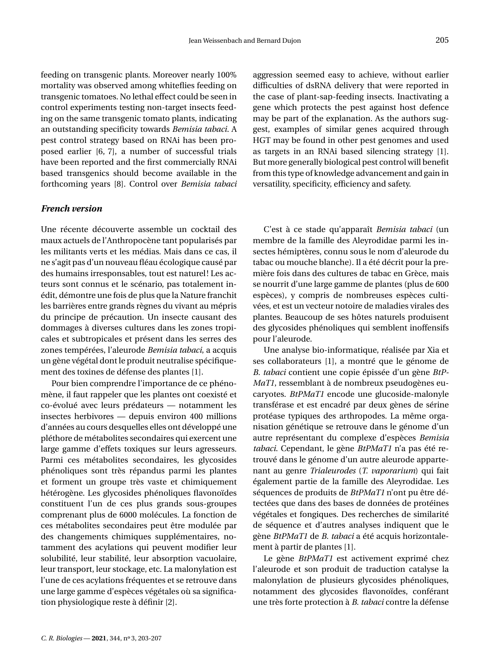feeding on transgenic plants. Moreover nearly 100% mortality was observed among whiteflies feeding on transgenic tomatoes. No lethal effect could be seen in control experiments testing non-target insects feeding on the same transgenic tomato plants, indicating an outstanding specificity towards *Bemisia tabaci*. A pest control strategy based on RNAi has been proposed earlier [\[6,](#page-5-5) [7\]](#page-5-6), a number of successful trials have been reported and the first commercially RNAi based transgenics should become available in the forthcoming years [\[8\]](#page-5-7). Control over *Bemisia tabaci*

### *French version*

Une récente découverte assemble un cocktail des maux actuels de l'Anthropocène tant popularisés par les militants verts et les médias. Mais dans ce cas, il ne s'agit pas d'un nouveau fléau écologique causé par des humains irresponsables, tout est naturel! Les acteurs sont connus et le scénario, pas totalement inédit, démontre une fois de plus que la Nature franchit les barrières entre grands règnes du vivant au mépris du principe de précaution. Un insecte causant des dommages à diverses cultures dans les zones tropicales et subtropicales et présent dans les serres des zones tempérées, l'aleurode *Bemisia tabaci*, a acquis un gène végétal dont le produit neutralise spécifiquement des toxines de défense des plantes [\[1\]](#page-5-0).

Pour bien comprendre l'importance de ce phénomène, il faut rappeler que les plantes ont coexisté et co-évolué avec leurs prédateurs — notamment les insectes herbivores — depuis environ 400 millions d'années au cours desquelles elles ont développé une pléthore de métabolites secondaires qui exercent une large gamme d'effets toxiques sur leurs agresseurs. Parmi ces métabolites secondaires, les glycosides phénoliques sont très répandus parmi les plantes et forment un groupe très vaste et chimiquement hétérogène. Les glycosides phénoliques flavonoïdes constituent l'un de ces plus grands sous-groupes comprenant plus de 6000 molécules. La fonction de ces métabolites secondaires peut être modulée par des changements chimiques supplémentaires, notamment des acylations qui peuvent modifier leur solubilité, leur stabilité, leur absorption vacuolaire, leur transport, leur stockage, etc. La malonylation est l'une de ces acylations fréquentes et se retrouve dans une large gamme d'espèces végétales où sa signification physiologique reste à définir [\[2\]](#page-5-1).

aggression seemed easy to achieve, without earlier difficulties of dsRNA delivery that were reported in the case of plant-sap-feeding insects. Inactivating a gene which protects the pest against host defence may be part of the explanation. As the authors suggest, examples of similar genes acquired through HGT may be found in other pest genomes and used as targets in an RNAi based silencing strategy [\[1\]](#page-5-0). But more generally biological pest control will benefit from this type of knowledge advancement and gain in versatility, specificity, efficiency and safety.

C'est à ce stade qu'apparaît *Bemisia tabaci* (un membre de la famille des Aleyrodidae parmi les insectes hémiptères, connu sous le nom d'aleurode du tabac ou mouche blanche). Il a été décrit pour la première fois dans des cultures de tabac en Grèce, mais se nourrit d'une large gamme de plantes (plus de 600 espèces), y compris de nombreuses espèces cultivées, et est un vecteur notoire de maladies virales des plantes. Beaucoup de ses hôtes naturels produisent des glycosides phénoliques qui semblent inoffensifs pour l'aleurode.

Une analyse bio-informatique, réalisée par Xia et ses collaborateurs [\[1\]](#page-5-0), a montré que le génome de *B. tabaci* contient une copie épissée d'un gène *BtP-MaT1*, ressemblant à de nombreux pseudogènes eucaryotes. *BtPMaT1* encode une glucoside-malonyle transférase et est encadré par deux gènes de sérine protéase typiques des arthropodes. La même organisation génétique se retrouve dans le génome d'un autre représentant du complexe d'espèces *Bemisia tabaci*. Cependant, le gène *BtPMaT1* n'a pas été retrouvé dans le génome d'un autre aleurode appartenant au genre *Trialeurodes* (*T. vaporarium*) qui fait également partie de la famille des Aleyrodidae. Les séquences de produits de *BtPMaT1* n'ont pu être détectées que dans des bases de données de protéines végétales et fongiques. Des recherches de similarité de séquence et d'autres analyses indiquent que le gène *BtPMaT1* de *B. tabaci* a été acquis horizontalement à partir de plantes [\[1\]](#page-5-0).

Le gène *BtPMaT1* est activement exprimé chez l'aleurode et son produit de traduction catalyse la malonylation de plusieurs glycosides phénoliques, notamment des glycosides flavonoïdes, conférant une très forte protection à *B. tabaci* contre la défense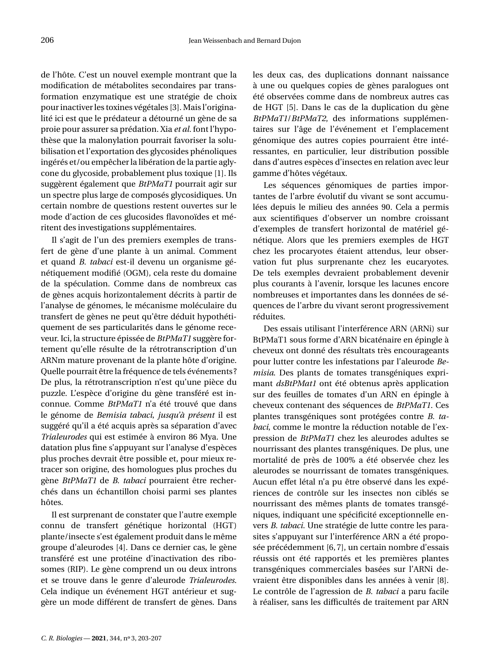de l'hôte. C'est un nouvel exemple montrant que la modification de métabolites secondaires par transformation enzymatique est une stratégie de choix pour inactiver les toxines végétales [\[3\]](#page-5-2). Mais l'originalité ici est que le prédateur a détourné un gène de sa proie pour assurer sa prédation. Xia *et al.* font l'hypothèse que la malonylation pourrait favoriser la solubilisation et l'exportation des glycosides phénoliques ingérés et/ou empêcher la libération de la partie aglycone du glycoside, probablement plus toxique [\[1\]](#page-5-0). Ils suggèrent également que *BtPMaT1* pourrait agir sur un spectre plus large de composés glycosidiques. Un certain nombre de questions restent ouvertes sur le mode d'action de ces glucosides flavonoïdes et méritent des investigations supplémentaires.

Il s'agit de l'un des premiers exemples de transfert de gène d'une plante à un animal. Comment et quand *B. tabaci* est-il devenu un organisme génétiquement modifié (OGM), cela reste du domaine de la spéculation. Comme dans de nombreux cas de gènes acquis horizontalement décrits à partir de l'analyse de génomes, le mécanisme moléculaire du transfert de gènes ne peut qu'être déduit hypothétiquement de ses particularités dans le génome receveur. Ici, la structure épissée de *BtPMaT1* suggère fortement qu'elle résulte de la rétrotranscription d'un ARNm mature provenant de la plante hôte d'origine. Quelle pourrait être la fréquence de tels événements ? De plus, la rétrotranscription n'est qu'une pièce du puzzle. L'espèce d'origine du gène transféré est inconnue. Comme *BtPMaT1* n'a été trouvé que dans le génome de *Bemisia tabaci*, *jusqu'à présent* il est suggéré qu'il a été acquis après sa séparation d'avec *Trialeurodes* qui est estimée à environ 86 Mya. Une datation plus fine s'appuyant sur l'analyse d'espèces plus proches devrait être possible et, pour mieux retracer son origine, des homologues plus proches du gène *BtPMaT1* de *B. tabaci* pourraient être recherchés dans un échantillon choisi parmi ses plantes hôtes.

Il est surprenant de constater que l'autre exemple connu de transfert génétique horizontal (HGT) plante/insecte s'est également produit dans le même groupe d'aleurodes [\[4\]](#page-5-3). Dans ce dernier cas, le gène transféré est une protéine d'inactivation des ribosomes (RIP). Le gène comprend un ou deux introns et se trouve dans le genre d'aleurode *Trialeurodes*. Cela indique un événement HGT antérieur et suggère un mode différent de transfert de gènes. Dans les deux cas, des duplications donnant naissance à une ou quelques copies de gènes paralogues ont été observées comme dans de nombreux autres cas de HGT [\[5\]](#page-5-4). Dans le cas de la duplication du gène *BtPMaT1*/*BtPMaT2*, des informations supplémentaires sur l'âge de l'événement et l'emplacement génomique des autres copies pourraient être intéressantes, en particulier, leur distribution possible dans d'autres espèces d'insectes en relation avec leur gamme d'hôtes végétaux.

Les séquences génomiques de parties importantes de l'arbre évolutif du vivant se sont accumulées depuis le milieu des années 90. Cela a permis aux scientifiques d'observer un nombre croissant d'exemples de transfert horizontal de matériel génétique. Alors que les premiers exemples de HGT chez les procaryotes étaient attendus, leur observation fut plus surprenante chez les eucaryotes. De tels exemples devraient probablement devenir plus courants à l'avenir, lorsque les lacunes encore nombreuses et importantes dans les données de séquences de l'arbre du vivant seront progressivement réduites.

Des essais utilisant l'interférence ARN (ARNi) sur BtPMaT1 sous forme d'ARN bicaténaire en épingle à cheveux ont donné des résultats très encourageants pour lutter contre les infestations par l'aleurode *Bemisia*. Des plants de tomates transgéniques exprimant *dsBtPMat1* ont été obtenus après application sur des feuilles de tomates d'un ARN en épingle à cheveux contenant des séquences de *BtPMaT1*. Ces plantes transgéniques sont protégées contre *B. tabaci*, comme le montre la réduction notable de l'expression de *BtPMaT1* chez les aleurodes adultes se nourrissant des plantes transgéniques. De plus, une mortalité de près de 100% a été observée chez les aleurodes se nourrissant de tomates transgéniques. Aucun effet létal n'a pu être observé dans les expériences de contrôle sur les insectes non ciblés se nourrissant des mêmes plants de tomates transgéniques, indiquant une spécificité exceptionnelle envers *B. tabaci.* Une stratégie de lutte contre les parasites s'appuyant sur l'interférence ARN a été proposée précédemment [\[6,](#page-5-5) [7\]](#page-5-6), un certain nombre d'essais réussis ont été rapportés et les premières plantes transgéniques commerciales basées sur l'ARNi devraient être disponibles dans les années à venir [\[8\]](#page-5-7). Le contrôle de l'agression de *B. tabaci* a paru facile à réaliser, sans les difficultés de traitement par ARN